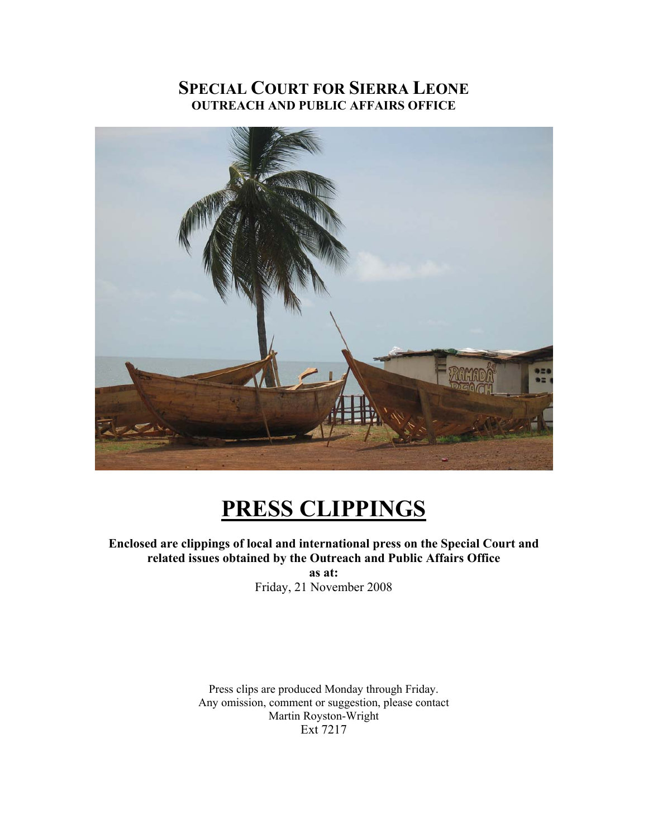# **SPECIAL COURT FOR SIERRA LEONE OUTREACH AND PUBLIC AFFAIRS OFFICE**



# **PRESS CLIPPINGS**

## **Enclosed are clippings of local and international press on the Special Court and related issues obtained by the Outreach and Public Affairs Office as at:**

Friday, 21 November 2008

Press clips are produced Monday through Friday. Any omission, comment or suggestion, please contact Martin Royston-Wright Ext 7217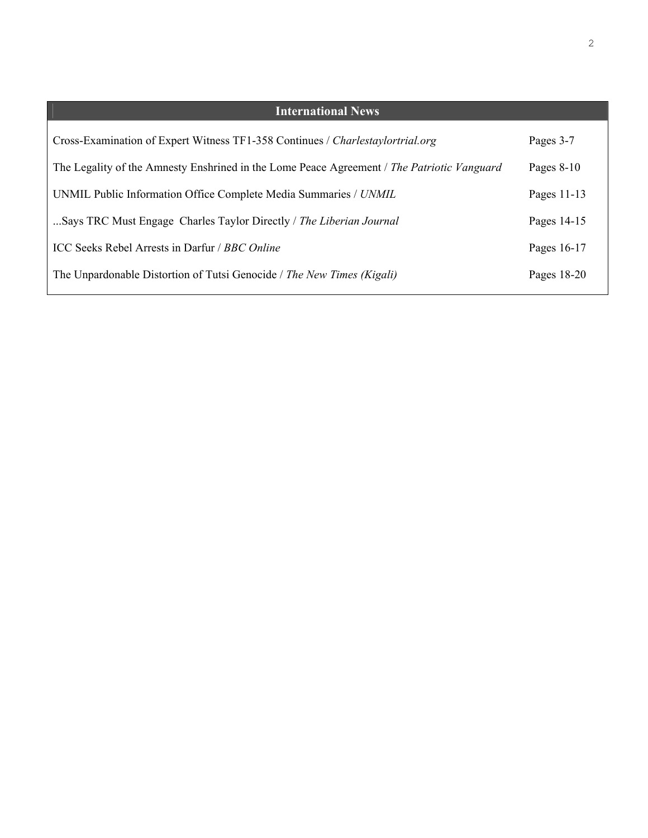| Pages 3-7    |
|--------------|
| Pages $8-10$ |
| Pages 11-13  |
| Pages 14-15  |
| Pages 16-17  |
| Pages 18-20  |
|              |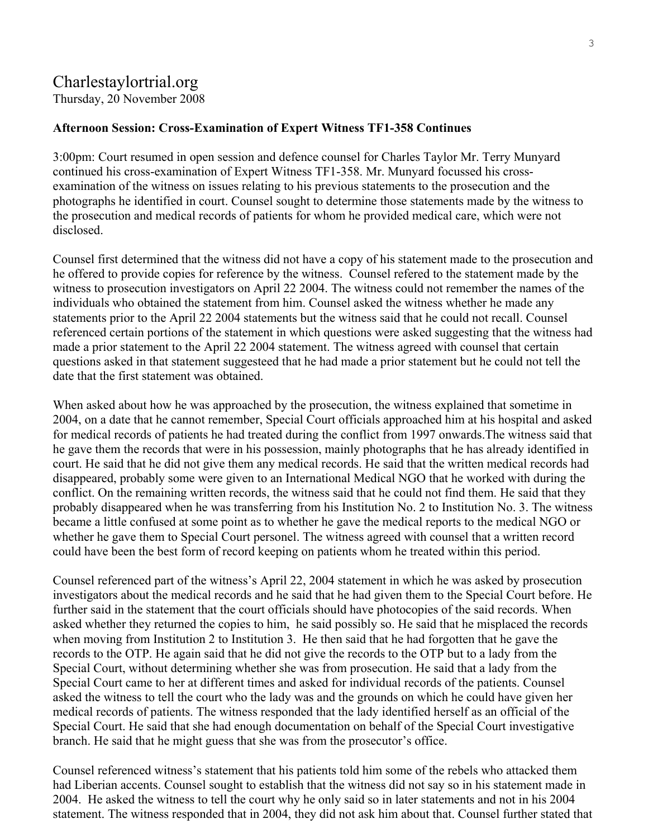## Charlestaylortrial.org

Thursday, 20 November 2008

#### **Afternoon Session: Cross-Examination of Expert Witness TF1-358 Continues**

3:00pm: Court resumed in open session and defence counsel for Charles Taylor Mr. Terry Munyard continued his cross-examination of Expert Witness TF1-358. Mr. Munyard focussed his crossexamination of the witness on issues relating to his previous statements to the prosecution and the photographs he identified in court. Counsel sought to determine those statements made by the witness to the prosecution and medical records of patients for whom he provided medical care, which were not disclosed.

Counsel first determined that the witness did not have a copy of his statement made to the prosecution and he offered to provide copies for reference by the witness. Counsel refered to the statement made by the witness to prosecution investigators on April 22 2004. The witness could not remember the names of the individuals who obtained the statement from him. Counsel asked the witness whether he made any statements prior to the April 22 2004 statements but the witness said that he could not recall. Counsel referenced certain portions of the statement in which questions were asked suggesting that the witness had made a prior statement to the April 22 2004 statement. The witness agreed with counsel that certain questions asked in that statement suggesteed that he had made a prior statement but he could not tell the date that the first statement was obtained.

When asked about how he was approached by the prosecution, the witness explained that sometime in 2004, on a date that he cannot remember, Special Court officials approached him at his hospital and asked for medical records of patients he had treated during the conflict from 1997 onwards.The witness said that he gave them the records that were in his possession, mainly photographs that he has already identified in court. He said that he did not give them any medical records. He said that the written medical records had disappeared, probably some were given to an International Medical NGO that he worked with during the conflict. On the remaining written records, the witness said that he could not find them. He said that they probably disappeared when he was transferring from his Institution No. 2 to Institution No. 3. The witness became a little confused at some point as to whether he gave the medical reports to the medical NGO or whether he gave them to Special Court personel. The witness agreed with counsel that a written record could have been the best form of record keeping on patients whom he treated within this period.

Counsel referenced part of the witness's April 22, 2004 statement in which he was asked by prosecution investigators about the medical records and he said that he had given them to the Special Court before. He further said in the statement that the court officials should have photocopies of the said records. When asked whether they returned the copies to him, he said possibly so. He said that he misplaced the records when moving from Institution 2 to Institution 3. He then said that he had forgotten that he gave the records to the OTP. He again said that he did not give the records to the OTP but to a lady from the Special Court, without determining whether she was from prosecution. He said that a lady from the Special Court came to her at different times and asked for individual records of the patients. Counsel asked the witness to tell the court who the lady was and the grounds on which he could have given her medical records of patients. The witness responded that the lady identified herself as an official of the Special Court. He said that she had enough documentation on behalf of the Special Court investigative branch. He said that he might guess that she was from the prosecutor's office.

Counsel referenced witness's statement that his patients told him some of the rebels who attacked them had Liberian accents. Counsel sought to establish that the witness did not say so in his statement made in 2004. He asked the witness to tell the court why he only said so in later statements and not in his 2004 statement. The witness responded that in 2004, they did not ask him about that. Counsel further stated that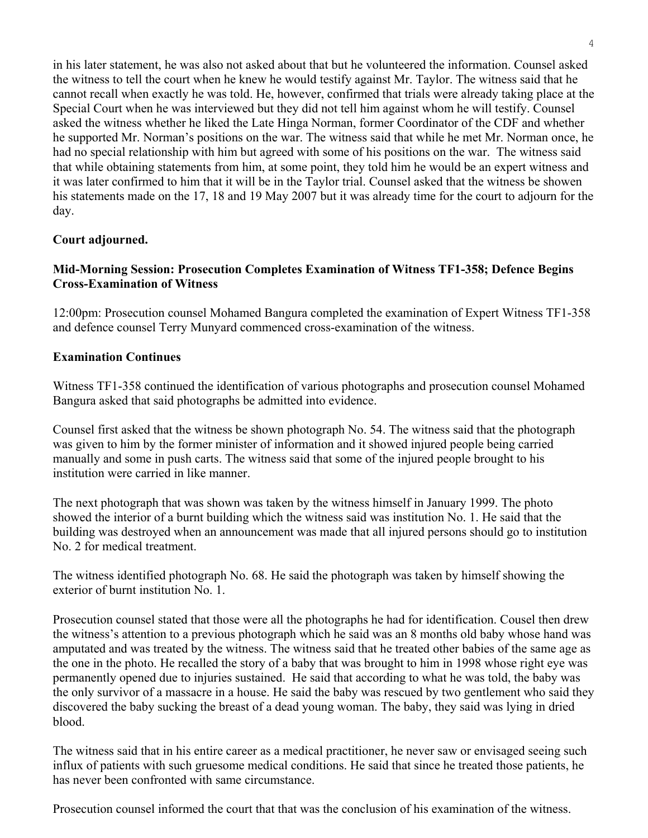in his later statement, he was also not asked about that but he volunteered the information. Counsel asked the witness to tell the court when he knew he would testify against Mr. Taylor. The witness said that he cannot recall when exactly he was told. He, however, confirmed that trials were already taking place at the Special Court when he was interviewed but they did not tell him against whom he will testify. Counsel asked the witness whether he liked the Late Hinga Norman, former Coordinator of the CDF and whether he supported Mr. Norman's positions on the war. The witness said that while he met Mr. Norman once, he had no special relationship with him but agreed with some of his positions on the war. The witness said that while obtaining statements from him, at some point, they told him he would be an expert witness and it was later confirmed to him that it will be in the Taylor trial. Counsel asked that the witness be showen his statements made on the 17, 18 and 19 May 2007 but it was already time for the court to adjourn for the day.

#### **Court adjourned.**

## **Mid-Morning Session: Prosecution Completes Examination of Witness TF1-358; Defence Begins Cross-Examination of Witness**

12:00pm: Prosecution counsel Mohamed Bangura completed the examination of Expert Witness TF1-358 and defence counsel Terry Munyard commenced cross-examination of the witness.

#### **Examination Continues**

Witness TF1-358 continued the identification of various photographs and prosecution counsel Mohamed Bangura asked that said photographs be admitted into evidence.

Counsel first asked that the witness be shown photograph No. 54. The witness said that the photograph was given to him by the former minister of information and it showed injured people being carried manually and some in push carts. The witness said that some of the injured people brought to his institution were carried in like manner.

The next photograph that was shown was taken by the witness himself in January 1999. The photo showed the interior of a burnt building which the witness said was institution No. 1. He said that the building was destroyed when an announcement was made that all injured persons should go to institution No. 2 for medical treatment.

The witness identified photograph No. 68. He said the photograph was taken by himself showing the exterior of burnt institution No. 1.

Prosecution counsel stated that those were all the photographs he had for identification. Cousel then drew the witness's attention to a previous photograph which he said was an 8 months old baby whose hand was amputated and was treated by the witness. The witness said that he treated other babies of the same age as the one in the photo. He recalled the story of a baby that was brought to him in 1998 whose right eye was permanently opened due to injuries sustained. He said that according to what he was told, the baby was the only survivor of a massacre in a house. He said the baby was rescued by two gentlement who said they discovered the baby sucking the breast of a dead young woman. The baby, they said was lying in dried blood.

The witness said that in his entire career as a medical practitioner, he never saw or envisaged seeing such influx of patients with such gruesome medical conditions. He said that since he treated those patients, he has never been confronted with same circumstance.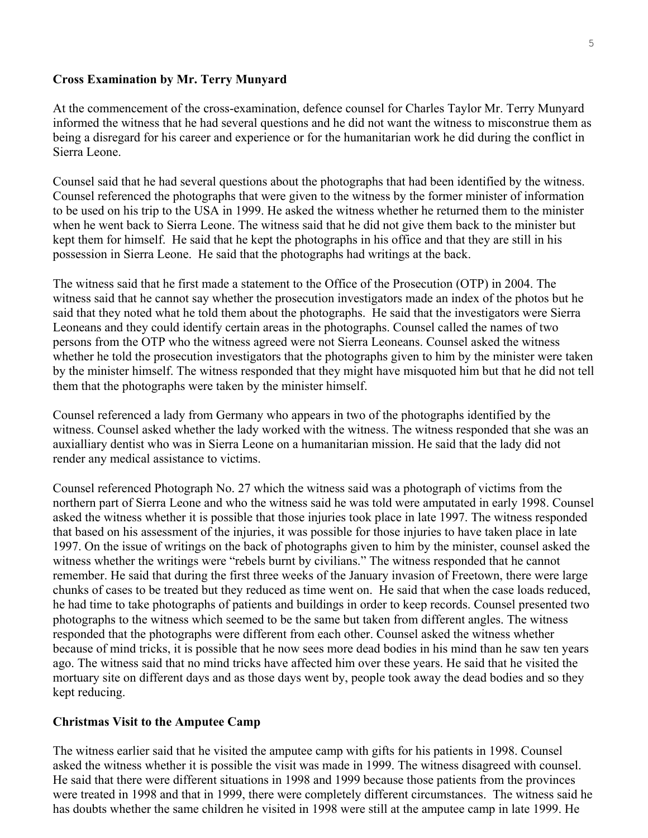#### **Cross Examination by Mr. Terry Munyard**

At the commencement of the cross-examination, defence counsel for Charles Taylor Mr. Terry Munyard informed the witness that he had several questions and he did not want the witness to misconstrue them as being a disregard for his career and experience or for the humanitarian work he did during the conflict in Sierra Leone.

Counsel said that he had several questions about the photographs that had been identified by the witness. Counsel referenced the photographs that were given to the witness by the former minister of information to be used on his trip to the USA in 1999. He asked the witness whether he returned them to the minister when he went back to Sierra Leone. The witness said that he did not give them back to the minister but kept them for himself. He said that he kept the photographs in his office and that they are still in his possession in Sierra Leone. He said that the photographs had writings at the back.

The witness said that he first made a statement to the Office of the Prosecution (OTP) in 2004. The witness said that he cannot say whether the prosecution investigators made an index of the photos but he said that they noted what he told them about the photographs. He said that the investigators were Sierra Leoneans and they could identify certain areas in the photographs. Counsel called the names of two persons from the OTP who the witness agreed were not Sierra Leoneans. Counsel asked the witness whether he told the prosecution investigators that the photographs given to him by the minister were taken by the minister himself. The witness responded that they might have misquoted him but that he did not tell them that the photographs were taken by the minister himself.

Counsel referenced a lady from Germany who appears in two of the photographs identified by the witness. Counsel asked whether the lady worked with the witness. The witness responded that she was an auxialliary dentist who was in Sierra Leone on a humanitarian mission. He said that the lady did not render any medical assistance to victims.

Counsel referenced Photograph No. 27 which the witness said was a photograph of victims from the northern part of Sierra Leone and who the witness said he was told were amputated in early 1998. Counsel asked the witness whether it is possible that those injuries took place in late 1997. The witness responded that based on his assessment of the injuries, it was possible for those injuries to have taken place in late 1997. On the issue of writings on the back of photographs given to him by the minister, counsel asked the witness whether the writings were "rebels burnt by civilians." The witness responded that he cannot remember. He said that during the first three weeks of the January invasion of Freetown, there were large chunks of cases to be treated but they reduced as time went on. He said that when the case loads reduced, he had time to take photographs of patients and buildings in order to keep records. Counsel presented two photographs to the witness which seemed to be the same but taken from different angles. The witness responded that the photographs were different from each other. Counsel asked the witness whether because of mind tricks, it is possible that he now sees more dead bodies in his mind than he saw ten years ago. The witness said that no mind tricks have affected him over these years. He said that he visited the mortuary site on different days and as those days went by, people took away the dead bodies and so they kept reducing.

#### **Christmas Visit to the Amputee Camp**

The witness earlier said that he visited the amputee camp with gifts for his patients in 1998. Counsel asked the witness whether it is possible the visit was made in 1999. The witness disagreed with counsel. He said that there were different situations in 1998 and 1999 because those patients from the provinces were treated in 1998 and that in 1999, there were completely different circumstances. The witness said he has doubts whether the same children he visited in 1998 were still at the amputee camp in late 1999. He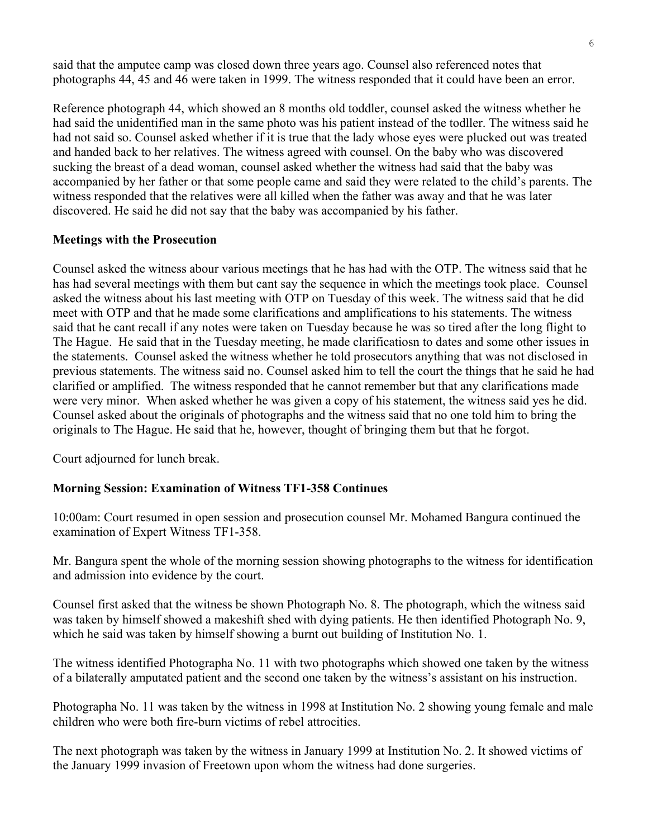said that the amputee camp was closed down three years ago. Counsel also referenced notes that photographs 44, 45 and 46 were taken in 1999. The witness responded that it could have been an error.

Reference photograph 44, which showed an 8 months old toddler, counsel asked the witness whether he had said the unidentified man in the same photo was his patient instead of the todller. The witness said he had not said so. Counsel asked whether if it is true that the lady whose eyes were plucked out was treated and handed back to her relatives. The witness agreed with counsel. On the baby who was discovered sucking the breast of a dead woman, counsel asked whether the witness had said that the baby was accompanied by her father or that some people came and said they were related to the child's parents. The witness responded that the relatives were all killed when the father was away and that he was later discovered. He said he did not say that the baby was accompanied by his father.

#### **Meetings with the Prosecution**

Counsel asked the witness abour various meetings that he has had with the OTP. The witness said that he has had several meetings with them but cant say the sequence in which the meetings took place. Counsel asked the witness about his last meeting with OTP on Tuesday of this week. The witness said that he did meet with OTP and that he made some clarifications and amplifications to his statements. The witness said that he cant recall if any notes were taken on Tuesday because he was so tired after the long flight to The Hague. He said that in the Tuesday meeting, he made clarificatiosn to dates and some other issues in the statements. Counsel asked the witness whether he told prosecutors anything that was not disclosed in previous statements. The witness said no. Counsel asked him to tell the court the things that he said he had clarified or amplified. The witness responded that he cannot remember but that any clarifications made were very minor. When asked whether he was given a copy of his statement, the witness said yes he did. Counsel asked about the originals of photographs and the witness said that no one told him to bring the originals to The Hague. He said that he, however, thought of bringing them but that he forgot.

Court adjourned for lunch break.

## **Morning Session: Examination of Witness TF1-358 Continues**

10:00am: Court resumed in open session and prosecution counsel Mr. Mohamed Bangura continued the examination of Expert Witness TF1-358.

Mr. Bangura spent the whole of the morning session showing photographs to the witness for identification and admission into evidence by the court.

Counsel first asked that the witness be shown Photograph No. 8. The photograph, which the witness said was taken by himself showed a makeshift shed with dying patients. He then identified Photograph No. 9, which he said was taken by himself showing a burnt out building of Institution No. 1.

The witness identified Photographa No. 11 with two photographs which showed one taken by the witness of a bilaterally amputated patient and the second one taken by the witness's assistant on his instruction.

Photographa No. 11 was taken by the witness in 1998 at Institution No. 2 showing young female and male children who were both fire-burn victims of rebel attrocities.

The next photograph was taken by the witness in January 1999 at Institution No. 2. It showed victims of the January 1999 invasion of Freetown upon whom the witness had done surgeries.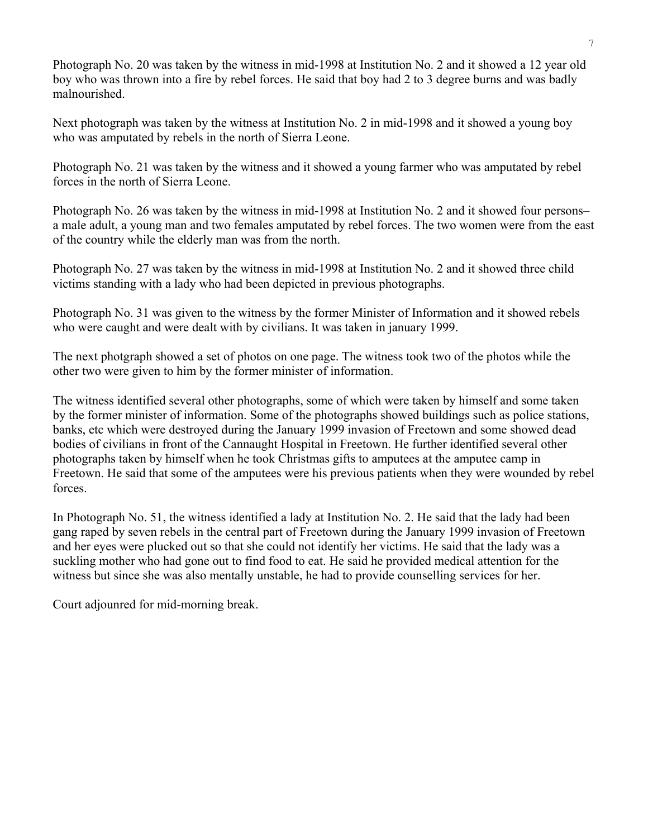Photograph No. 20 was taken by the witness in mid-1998 at Institution No. 2 and it showed a 12 year old boy who was thrown into a fire by rebel forces. He said that boy had 2 to 3 degree burns and was badly malnourished.

Next photograph was taken by the witness at Institution No. 2 in mid-1998 and it showed a young boy who was amputated by rebels in the north of Sierra Leone.

Photograph No. 21 was taken by the witness and it showed a young farmer who was amputated by rebel forces in the north of Sierra Leone.

Photograph No. 26 was taken by the witness in mid-1998 at Institution No. 2 and it showed four persons– a male adult, a young man and two females amputated by rebel forces. The two women were from the east of the country while the elderly man was from the north.

Photograph No. 27 was taken by the witness in mid-1998 at Institution No. 2 and it showed three child victims standing with a lady who had been depicted in previous photographs.

Photograph No. 31 was given to the witness by the former Minister of Information and it showed rebels who were caught and were dealt with by civilians. It was taken in january 1999.

The next photgraph showed a set of photos on one page. The witness took two of the photos while the other two were given to him by the former minister of information.

The witness identified several other photographs, some of which were taken by himself and some taken by the former minister of information. Some of the photographs showed buildings such as police stations, banks, etc which were destroyed during the January 1999 invasion of Freetown and some showed dead bodies of civilians in front of the Cannaught Hospital in Freetown. He further identified several other photographs taken by himself when he took Christmas gifts to amputees at the amputee camp in Freetown. He said that some of the amputees were his previous patients when they were wounded by rebel forces.

In Photograph No. 51, the witness identified a lady at Institution No. 2. He said that the lady had been gang raped by seven rebels in the central part of Freetown during the January 1999 invasion of Freetown and her eyes were plucked out so that she could not identify her victims. He said that the lady was a suckling mother who had gone out to find food to eat. He said he provided medical attention for the witness but since she was also mentally unstable, he had to provide counselling services for her.

Court adjounred for mid-morning break.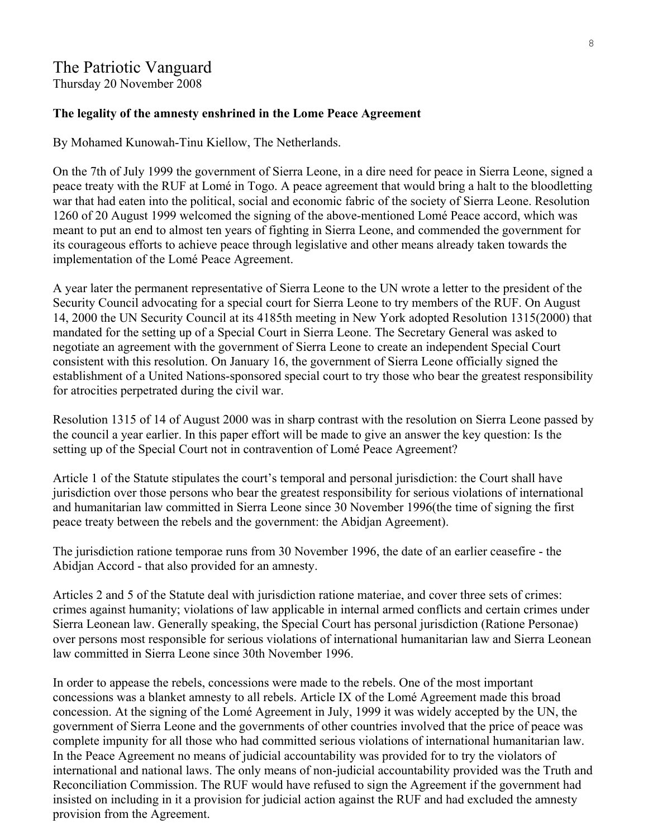# The Patriotic Vanguard

Thursday 20 November 2008

#### **The legality of the amnesty enshrined in the Lome Peace Agreement**

By Mohamed Kunowah-Tinu Kiellow, The Netherlands.

On the 7th of July 1999 the government of Sierra Leone, in a dire need for peace in Sierra Leone, signed a peace treaty with the RUF at Lomé in Togo. A peace agreement that would bring a halt to the bloodletting war that had eaten into the political, social and economic fabric of the society of Sierra Leone. Resolution 1260 of 20 August 1999 welcomed the signing of the above-mentioned Lomé Peace accord, which was meant to put an end to almost ten years of fighting in Sierra Leone, and commended the government for its courageous efforts to achieve peace through legislative and other means already taken towards the implementation of the Lomé Peace Agreement.

A year later the permanent representative of Sierra Leone to the UN wrote a letter to the president of the Security Council advocating for a special court for Sierra Leone to try members of the RUF. On August 14, 2000 the UN Security Council at its 4185th meeting in New York adopted Resolution 1315(2000) that mandated for the setting up of a Special Court in Sierra Leone. The Secretary General was asked to negotiate an agreement with the government of Sierra Leone to create an independent Special Court consistent with this resolution. On January 16, the government of Sierra Leone officially signed the establishment of a United Nations-sponsored special court to try those who bear the greatest responsibility for atrocities perpetrated during the civil war.

Resolution 1315 of 14 of August 2000 was in sharp contrast with the resolution on Sierra Leone passed by the council a year earlier. In this paper effort will be made to give an answer the key question: Is the setting up of the Special Court not in contravention of Lomé Peace Agreement?

Article 1 of the Statute stipulates the court's temporal and personal jurisdiction: the Court shall have jurisdiction over those persons who bear the greatest responsibility for serious violations of international and humanitarian law committed in Sierra Leone since 30 November 1996(the time of signing the first peace treaty between the rebels and the government: the Abidjan Agreement).

The jurisdiction ratione temporae runs from 30 November 1996, the date of an earlier ceasefire - the Abidjan Accord - that also provided for an amnesty.

Articles 2 and 5 of the Statute deal with jurisdiction ratione materiae, and cover three sets of crimes: crimes against humanity; violations of law applicable in internal armed conflicts and certain crimes under Sierra Leonean law. Generally speaking, the Special Court has personal jurisdiction (Ratione Personae) over persons most responsible for serious violations of international humanitarian law and Sierra Leonean law committed in Sierra Leone since 30th November 1996.

In order to appease the rebels, concessions were made to the rebels. One of the most important concessions was a blanket amnesty to all rebels. Article IX of the Lomé Agreement made this broad concession. At the signing of the Lomé Agreement in July, 1999 it was widely accepted by the UN, the government of Sierra Leone and the governments of other countries involved that the price of peace was complete impunity for all those who had committed serious violations of international humanitarian law. In the Peace Agreement no means of judicial accountability was provided for to try the violators of international and national laws. The only means of non-judicial accountability provided was the Truth and Reconciliation Commission. The RUF would have refused to sign the Agreement if the government had insisted on including in it a provision for judicial action against the RUF and had excluded the amnesty provision from the Agreement.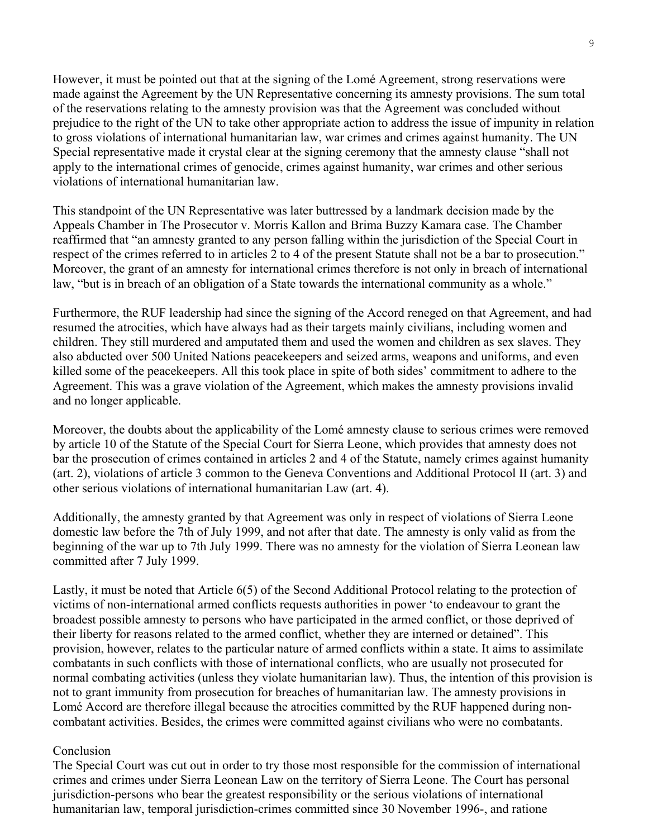However, it must be pointed out that at the signing of the Lomé Agreement, strong reservations were made against the Agreement by the UN Representative concerning its amnesty provisions. The sum total of the reservations relating to the amnesty provision was that the Agreement was concluded without prejudice to the right of the UN to take other appropriate action to address the issue of impunity in relation to gross violations of international humanitarian law, war crimes and crimes against humanity. The UN Special representative made it crystal clear at the signing ceremony that the amnesty clause "shall not apply to the international crimes of genocide, crimes against humanity, war crimes and other serious violations of international humanitarian law.

This standpoint of the UN Representative was later buttressed by a landmark decision made by the Appeals Chamber in The Prosecutor v. Morris Kallon and Brima Buzzy Kamara case. The Chamber reaffirmed that "an amnesty granted to any person falling within the jurisdiction of the Special Court in respect of the crimes referred to in articles 2 to 4 of the present Statute shall not be a bar to prosecution." Moreover, the grant of an amnesty for international crimes therefore is not only in breach of international law, "but is in breach of an obligation of a State towards the international community as a whole."

Furthermore, the RUF leadership had since the signing of the Accord reneged on that Agreement, and had resumed the atrocities, which have always had as their targets mainly civilians, including women and children. They still murdered and amputated them and used the women and children as sex slaves. They also abducted over 500 United Nations peacekeepers and seized arms, weapons and uniforms, and even killed some of the peacekeepers. All this took place in spite of both sides' commitment to adhere to the Agreement. This was a grave violation of the Agreement, which makes the amnesty provisions invalid and no longer applicable.

Moreover, the doubts about the applicability of the Lomé amnesty clause to serious crimes were removed by article 10 of the Statute of the Special Court for Sierra Leone, which provides that amnesty does not bar the prosecution of crimes contained in articles 2 and 4 of the Statute, namely crimes against humanity (art. 2), violations of article 3 common to the Geneva Conventions and Additional Protocol II (art. 3) and other serious violations of international humanitarian Law (art. 4).

Additionally, the amnesty granted by that Agreement was only in respect of violations of Sierra Leone domestic law before the 7th of July 1999, and not after that date. The amnesty is only valid as from the beginning of the war up to 7th July 1999. There was no amnesty for the violation of Sierra Leonean law committed after 7 July 1999.

Lastly, it must be noted that Article 6(5) of the Second Additional Protocol relating to the protection of victims of non-international armed conflicts requests authorities in power 'to endeavour to grant the broadest possible amnesty to persons who have participated in the armed conflict, or those deprived of their liberty for reasons related to the armed conflict, whether they are interned or detained". This provision, however, relates to the particular nature of armed conflicts within a state. It aims to assimilate combatants in such conflicts with those of international conflicts, who are usually not prosecuted for normal combating activities (unless they violate humanitarian law). Thus, the intention of this provision is not to grant immunity from prosecution for breaches of humanitarian law. The amnesty provisions in Lomé Accord are therefore illegal because the atrocities committed by the RUF happened during noncombatant activities. Besides, the crimes were committed against civilians who were no combatants.

#### Conclusion

The Special Court was cut out in order to try those most responsible for the commission of international crimes and crimes under Sierra Leonean Law on the territory of Sierra Leone. The Court has personal jurisdiction-persons who bear the greatest responsibility or the serious violations of international humanitarian law, temporal jurisdiction-crimes committed since 30 November 1996-, and ratione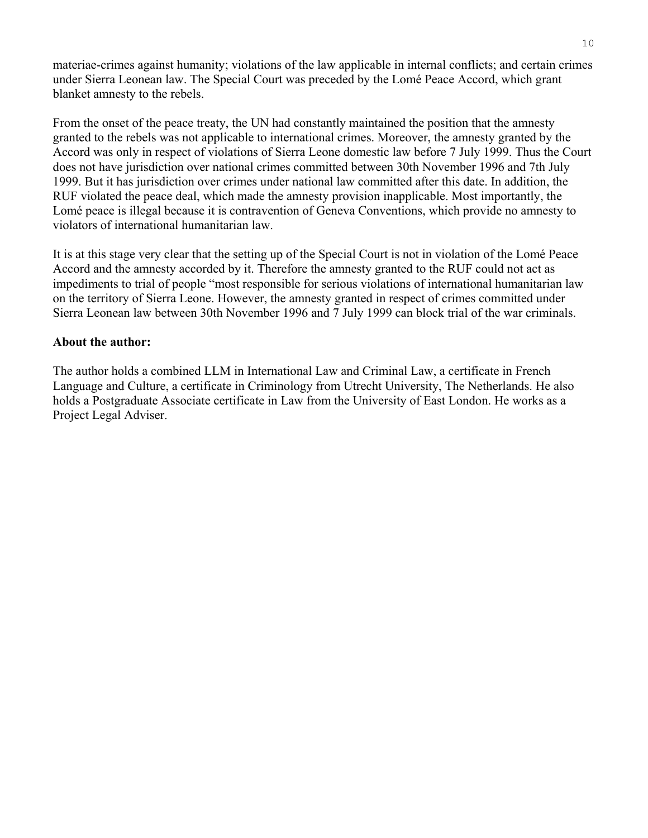materiae-crimes against humanity; violations of the law applicable in internal conflicts; and certain crimes under Sierra Leonean law. The Special Court was preceded by the Lomé Peace Accord, which grant blanket amnesty to the rebels.

From the onset of the peace treaty, the UN had constantly maintained the position that the amnesty granted to the rebels was not applicable to international crimes. Moreover, the amnesty granted by the Accord was only in respect of violations of Sierra Leone domestic law before 7 July 1999. Thus the Court does not have jurisdiction over national crimes committed between 30th November 1996 and 7th July 1999. But it has jurisdiction over crimes under national law committed after this date. In addition, the RUF violated the peace deal, which made the amnesty provision inapplicable. Most importantly, the Lomé peace is illegal because it is contravention of Geneva Conventions, which provide no amnesty to violators of international humanitarian law.

It is at this stage very clear that the setting up of the Special Court is not in violation of the Lomé Peace Accord and the amnesty accorded by it. Therefore the amnesty granted to the RUF could not act as impediments to trial of people "most responsible for serious violations of international humanitarian law on the territory of Sierra Leone. However, the amnesty granted in respect of crimes committed under Sierra Leonean law between 30th November 1996 and 7 July 1999 can block trial of the war criminals.

#### **About the author:**

The author holds a combined LLM in International Law and Criminal Law, a certificate in French Language and Culture, a certificate in Criminology from Utrecht University, The Netherlands. He also holds a Postgraduate Associate certificate in Law from the University of East London. He works as a Project Legal Adviser.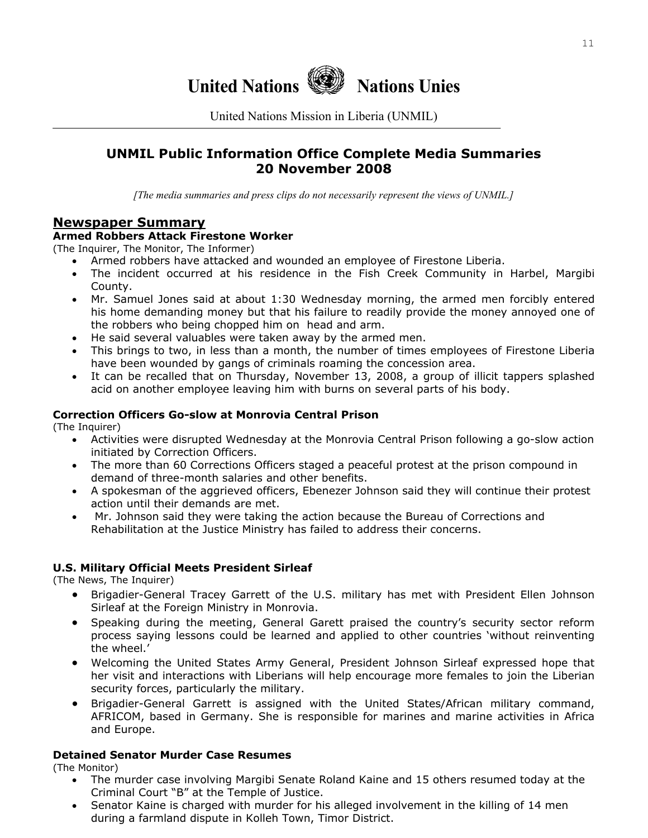

United Nations Mission in Liberia (UNMIL)

## **UNMIL Public Information Office Complete Media Summaries 20 November 2008**

*[The media summaries and press clips do not necessarily represent the views of UNMIL.]*

## **Newspaper Summary**

#### **Armed Robbers Attack Firestone Worker**

(The Inquirer, The Monitor, The Informer)

- Armed robbers have attacked and wounded an employee of Firestone Liberia.
- The incident occurred at his residence in the Fish Creek Community in Harbel, Margibi County.
- Mr. Samuel Jones said at about 1:30 Wednesday morning, the armed men forcibly entered his home demanding money but that his failure to readily provide the money annoyed one of the robbers who being chopped him on head and arm.
- He said several valuables were taken away by the armed men.
- This brings to two, in less than a month, the number of times employees of Firestone Liberia have been wounded by gangs of criminals roaming the concession area.
- It can be recalled that on Thursday, November 13, 2008, a group of illicit tappers splashed acid on another employee leaving him with burns on several parts of his body.

#### **Correction Officers Go-slow at Monrovia Central Prison**

(The Inquirer)

- Activities were disrupted Wednesday at the Monrovia Central Prison following a go-slow action initiated by Correction Officers.
- The more than 60 Corrections Officers staged a peaceful protest at the prison compound in demand of three-month salaries and other benefits.
- A spokesman of the aggrieved officers, Ebenezer Johnson said they will continue their protest action until their demands are met.
- Mr. Johnson said they were taking the action because the Bureau of Corrections and Rehabilitation at the Justice Ministry has failed to address their concerns.

#### **U.S. Military Official Meets President Sirleaf**

(The News, The Inquirer)

- Brigadier-General Tracey Garrett of the U.S. military has met with President Ellen Johnson Sirleaf at the Foreign Ministry in Monrovia.
- Speaking during the meeting, General Garett praised the country's security sector reform process saying lessons could be learned and applied to other countries 'without reinventing the wheel.'
- Welcoming the United States Army General, President Johnson Sirleaf expressed hope that her visit and interactions with Liberians will help encourage more females to join the Liberian security forces, particularly the military.
- Brigadier-General Garrett is assigned with the United States/African military command, AFRICOM, based in Germany. She is responsible for marines and marine activities in Africa and Europe.

#### **Detained Senator Murder Case Resumes**

(The Monitor)

- The murder case involving Margibi Senate Roland Kaine and 15 others resumed today at the Criminal Court "B" at the Temple of Justice.
- Senator Kaine is charged with murder for his alleged involvement in the killing of 14 men during a farmland dispute in Kolleh Town, Timor District.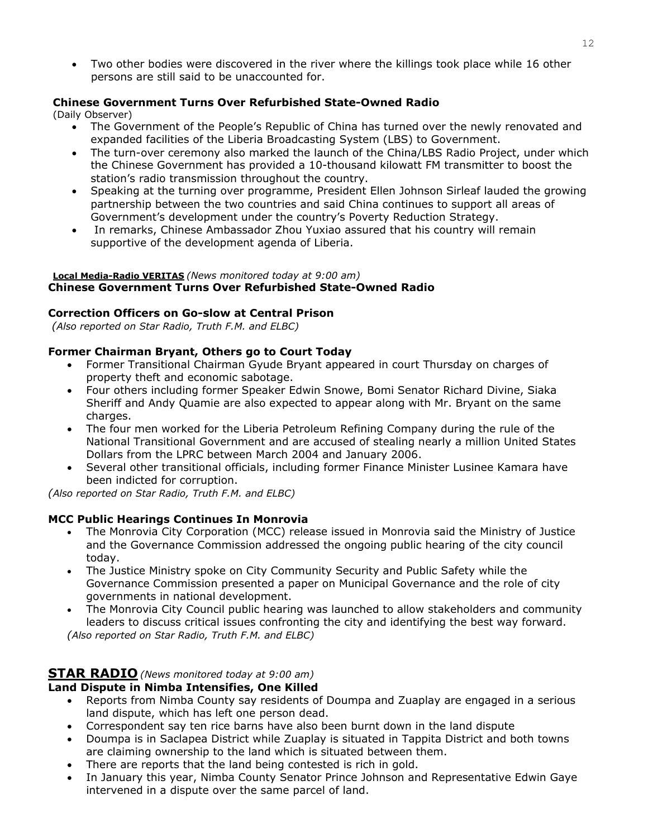• Two other bodies were discovered in the river where the killings took place while 16 other persons are still said to be unaccounted for.

## **Chinese Government Turns Over Refurbished State-Owned Radio**

(Daily Observer)

- The Government of the People's Republic of China has turned over the newly renovated and expanded facilities of the Liberia Broadcasting System (LBS) to Government.
- The turn-over ceremony also marked the launch of the China/LBS Radio Project, under which the Chinese Government has provided a 10-thousand kilowatt FM transmitter to boost the station's radio transmission throughout the country.
- Speaking at the turning over programme, President Ellen Johnson Sirleaf lauded the growing partnership between the two countries and said China continues to support all areas of Government's development under the country's Poverty Reduction Strategy.
- In remarks, Chinese Ambassador Zhou Yuxiao assured that his country will remain supportive of the development agenda of Liberia.

#### **Local Media-Radio VERITAS** *(News monitored today at 9:00 am)* **Chinese Government Turns Over Refurbished State-Owned Radio**

#### **Correction Officers on Go-slow at Central Prison**

 *(Also reported on Star Radio, Truth F.M. and ELBC)* 

#### **Former Chairman Bryant, Others go to Court Today**

- Former Transitional Chairman Gyude Bryant appeared in court Thursday on charges of property theft and economic sabotage.
- Four others including former Speaker Edwin Snowe, Bomi Senator Richard Divine, Siaka Sheriff and Andy Quamie are also expected to appear along with Mr. Bryant on the same charges.
- The four men worked for the Liberia Petroleum Refining Company during the rule of the National Transitional Government and are accused of stealing nearly a million United States Dollars from the LPRC between March 2004 and January 2006.
- Several other transitional officials, including former Finance Minister Lusinee Kamara have been indicted for corruption.

*(Also reported on Star Radio, Truth F.M. and ELBC)* 

#### **MCC Public Hearings Continues In Monrovia**

- The Monrovia City Corporation (MCC) release issued in Monrovia said the Ministry of Justice and the Governance Commission addressed the ongoing public hearing of the city council today.
- The Justice Ministry spoke on City Community Security and Public Safety while the Governance Commission presented a paper on Municipal Governance and the role of city governments in national development.
- The Monrovia City Council public hearing was launched to allow stakeholders and community leaders to discuss critical issues confronting the city and identifying the best way forward. *(Also reported on Star Radio, Truth F.M. and ELBC)*

## **STAR RADIO** *(News monitored today at 9:00 am)*

#### **Land Dispute in Nimba Intensifies, One Killed**

- Reports from Nimba County say residents of Doumpa and Zuaplay are engaged in a serious land dispute, which has left one person dead.
- Correspondent say ten rice barns have also been burnt down in the land dispute
- Doumpa is in Saclapea District while Zuaplay is situated in Tappita District and both towns are claiming ownership to the land which is situated between them.
- There are reports that the land being contested is rich in gold.
- In January this year, Nimba County Senator Prince Johnson and Representative Edwin Gaye intervened in a dispute over the same parcel of land.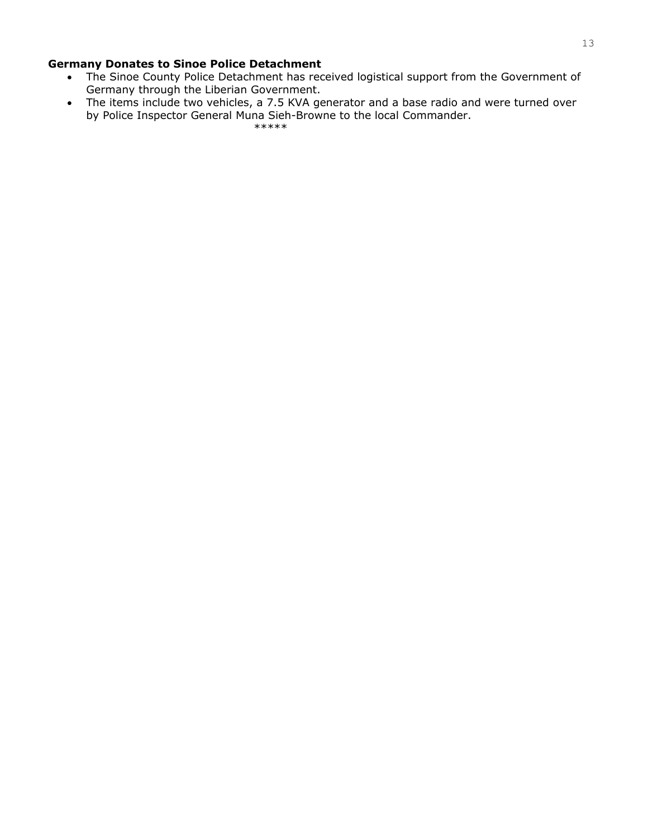#### **Germany Donates to Sinoe Police Detachment**

- The Sinoe County Police Detachment has received logistical support from the Government of Germany through the Liberian Government.
- The items include two vehicles, a 7.5 KVA generator and a base radio and were turned over by Police Inspector General Muna Sieh-Browne to the local Commander.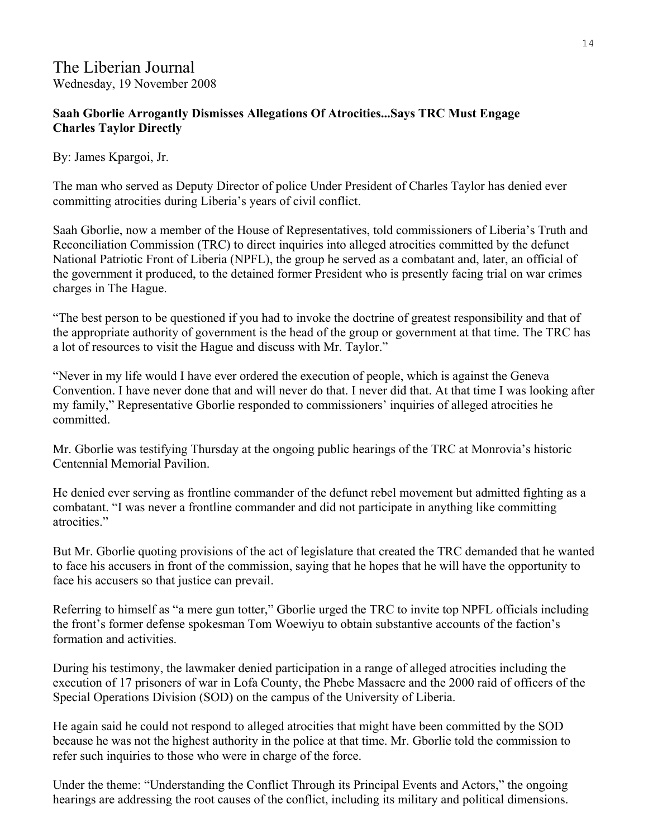## The Liberian Journal Wednesday, 19 November 2008

## **Saah Gborlie Arrogantly Dismisses Allegations Of Atrocities...Says TRC Must Engage Charles Taylor Directly**

By: James Kpargoi, Jr.

The man who served as Deputy Director of police Under President of Charles Taylor has denied ever committing atrocities during Liberia's years of civil conflict.

Saah Gborlie, now a member of the House of Representatives, told commissioners of Liberia's Truth and Reconciliation Commission (TRC) to direct inquiries into alleged atrocities committed by the defunct National Patriotic Front of Liberia (NPFL), the group he served as a combatant and, later, an official of the government it produced, to the detained former President who is presently facing trial on war crimes charges in The Hague.

"The best person to be questioned if you had to invoke the doctrine of greatest responsibility and that of the appropriate authority of government is the head of the group or government at that time. The TRC has a lot of resources to visit the Hague and discuss with Mr. Taylor."

"Never in my life would I have ever ordered the execution of people, which is against the Geneva Convention. I have never done that and will never do that. I never did that. At that time I was looking after my family," Representative Gborlie responded to commissioners' inquiries of alleged atrocities he committed.

Mr. Gborlie was testifying Thursday at the ongoing public hearings of the TRC at Monrovia's historic Centennial Memorial Pavilion.

He denied ever serving as frontline commander of the defunct rebel movement but admitted fighting as a combatant. "I was never a frontline commander and did not participate in anything like committing atrocities."

But Mr. Gborlie quoting provisions of the act of legislature that created the TRC demanded that he wanted to face his accusers in front of the commission, saying that he hopes that he will have the opportunity to face his accusers so that justice can prevail.

Referring to himself as "a mere gun totter," Gborlie urged the TRC to invite top NPFL officials including the front's former defense spokesman Tom Woewiyu to obtain substantive accounts of the faction's formation and activities.

During his testimony, the lawmaker denied participation in a range of alleged atrocities including the execution of 17 prisoners of war in Lofa County, the Phebe Massacre and the 2000 raid of officers of the Special Operations Division (SOD) on the campus of the University of Liberia.

He again said he could not respond to alleged atrocities that might have been committed by the SOD because he was not the highest authority in the police at that time. Mr. Gborlie told the commission to refer such inquiries to those who were in charge of the force.

Under the theme: "Understanding the Conflict Through its Principal Events and Actors," the ongoing hearings are addressing the root causes of the conflict, including its military and political dimensions.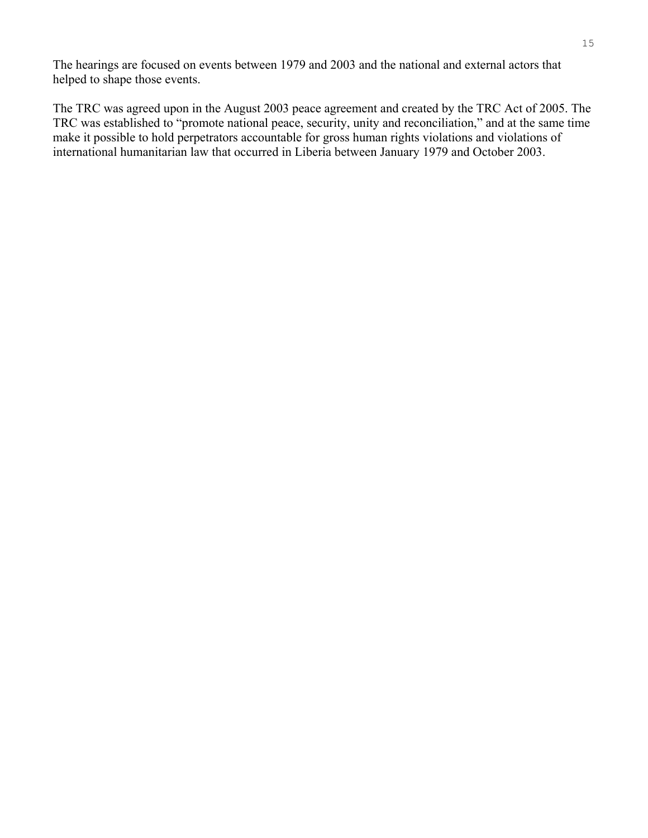The hearings are focused on events between 1979 and 2003 and the national and external actors that helped to shape those events.

The TRC was agreed upon in the August 2003 peace agreement and created by the TRC Act of 2005. The TRC was established to "promote national peace, security, unity and reconciliation," and at the same time make it possible to hold perpetrators accountable for gross human rights violations and violations of international humanitarian law that occurred in Liberia between January 1979 and October 2003.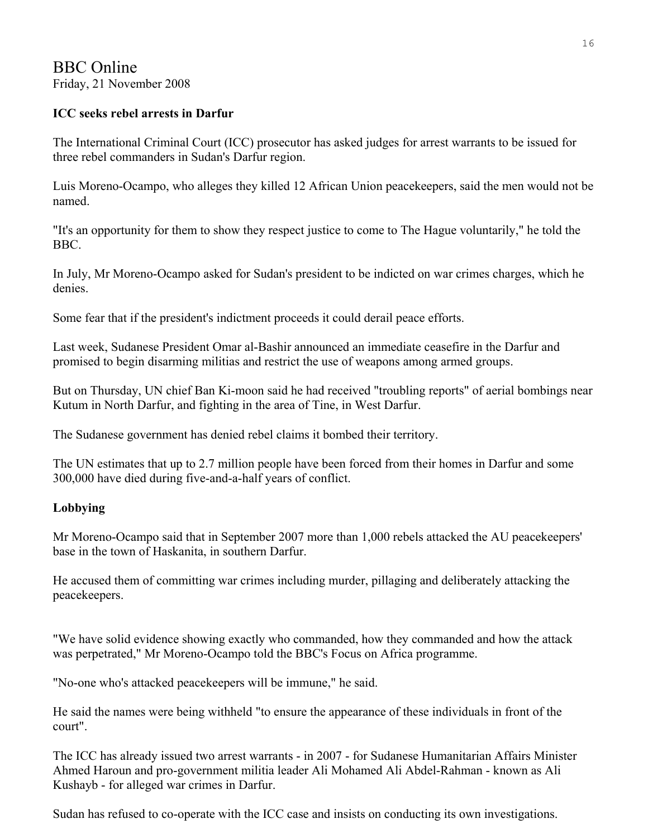# BBC Online Friday, 21 November 2008

## **ICC seeks rebel arrests in Darfur**

The International Criminal Court (ICC) prosecutor has asked judges for arrest warrants to be issued for three rebel commanders in Sudan's Darfur region.

Luis Moreno-Ocampo, who alleges they killed 12 African Union peacekeepers, said the men would not be named.

"It's an opportunity for them to show they respect justice to come to The Hague voluntarily," he told the BBC.

In July, Mr Moreno-Ocampo asked for Sudan's president to be indicted on war crimes charges, which he denies.

Some fear that if the president's indictment proceeds it could derail peace efforts.

Last week, Sudanese President Omar al-Bashir announced an immediate ceasefire in the Darfur and promised to begin disarming militias and restrict the use of weapons among armed groups.

But on Thursday, UN chief Ban Ki-moon said he had received "troubling reports" of aerial bombings near Kutum in North Darfur, and fighting in the area of Tine, in West Darfur.

The Sudanese government has denied rebel claims it bombed their territory.

The UN estimates that up to 2.7 million people have been forced from their homes in Darfur and some 300,000 have died during five-and-a-half years of conflict.

## **Lobbying**

Mr Moreno-Ocampo said that in September 2007 more than 1,000 rebels attacked the AU peacekeepers' base in the town of Haskanita, in southern Darfur.

He accused them of committing war crimes including murder, pillaging and deliberately attacking the peacekeepers.

"We have solid evidence showing exactly who commanded, how they commanded and how the attack was perpetrated," Mr Moreno-Ocampo told the BBC's Focus on Africa programme.

"No-one who's attacked peacekeepers will be immune," he said.

He said the names were being withheld "to ensure the appearance of these individuals in front of the court".

The ICC has already issued two arrest warrants - in 2007 - for Sudanese Humanitarian Affairs Minister Ahmed Haroun and pro-government militia leader Ali Mohamed Ali Abdel-Rahman - known as Ali Kushayb - for alleged war crimes in Darfur.

Sudan has refused to co-operate with the ICC case and insists on conducting its own investigations.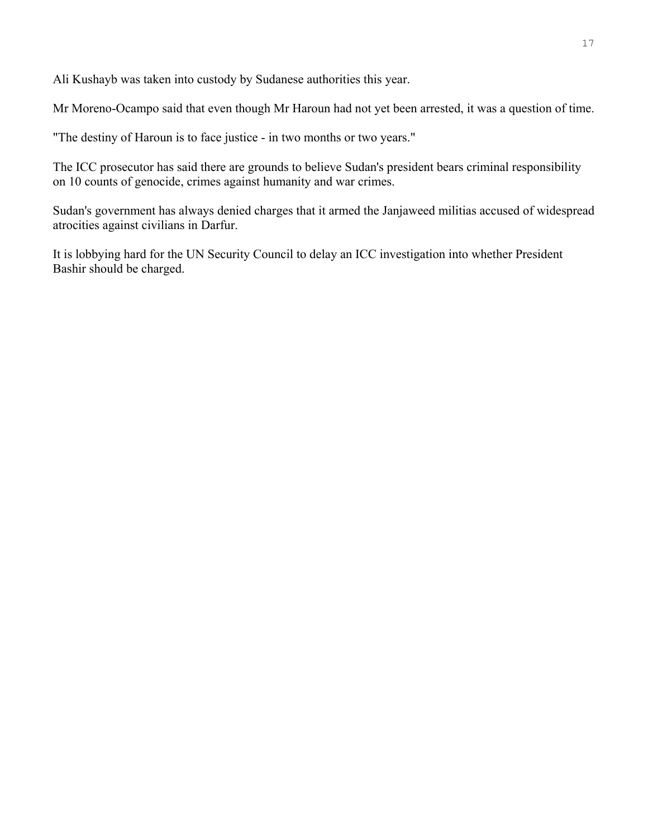Ali Kushayb was taken into custody by Sudanese authorities this year.

Mr Moreno-Ocampo said that even though Mr Haroun had not yet been arrested, it was a question of time.

"The destiny of Haroun is to face justice - in two months or two years."

The ICC prosecutor has said there are grounds to believe Sudan's president bears criminal responsibility on 10 counts of genocide, crimes against humanity and war crimes.

Sudan's government has always denied charges that it armed the Janjaweed militias accused of widespread atrocities against civilians in Darfur.

It is lobbying hard for the UN Security Council to delay an ICC investigation into whether President Bashir should be charged.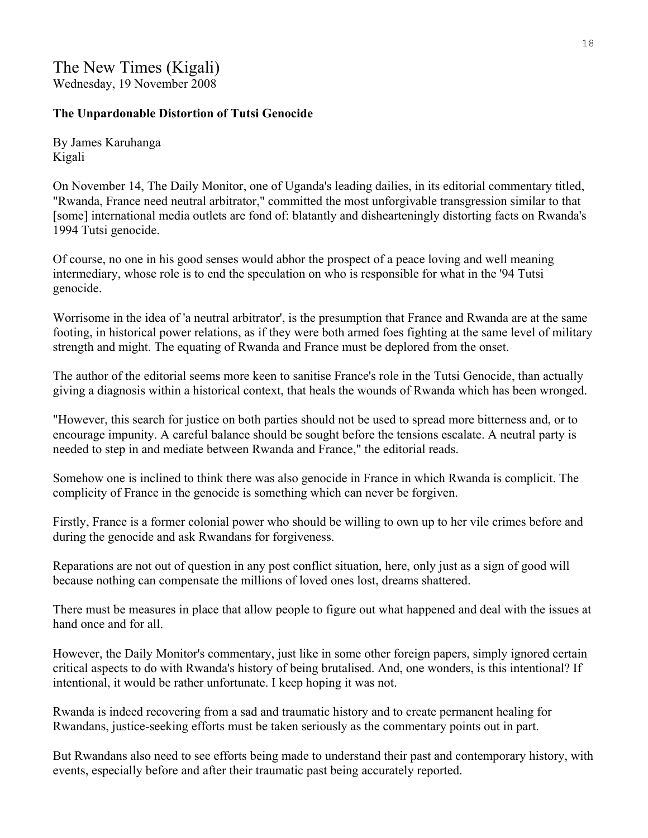## **The Unpardonable Distortion of Tutsi Genocide**

By James Karuhanga Kigali

On November 14, The Daily Monitor, one of Uganda's leading dailies, in its editorial commentary titled, "Rwanda, France need neutral arbitrator," committed the most unforgivable transgression similar to that [some] international media outlets are fond of: blatantly and dishearteningly distorting facts on Rwanda's 1994 Tutsi genocide.

Of course, no one in his good senses would abhor the prospect of a peace loving and well meaning intermediary, whose role is to end the speculation on who is responsible for what in the '94 Tutsi genocide.

Worrisome in the idea of 'a neutral arbitrator', is the presumption that France and Rwanda are at the same footing, in historical power relations, as if they were both armed foes fighting at the same level of military strength and might. The equating of Rwanda and France must be deplored from the onset.

The author of the editorial seems more keen to sanitise France's role in the Tutsi Genocide, than actually giving a diagnosis within a historical context, that heals the wounds of Rwanda which has been wronged.

"However, this search for justice on both parties should not be used to spread more bitterness and, or to encourage impunity. A careful balance should be sought before the tensions escalate. A neutral party is needed to step in and mediate between Rwanda and France," the editorial reads.

Somehow one is inclined to think there was also genocide in France in which Rwanda is complicit. The complicity of France in the genocide is something which can never be forgiven.

Firstly, France is a former colonial power who should be willing to own up to her vile crimes before and during the genocide and ask Rwandans for forgiveness.

Reparations are not out of question in any post conflict situation, here, only just as a sign of good will because nothing can compensate the millions of loved ones lost, dreams shattered.

There must be measures in place that allow people to figure out what happened and deal with the issues at hand once and for all.

However, the Daily Monitor's commentary, just like in some other foreign papers, simply ignored certain critical aspects to do with Rwanda's history of being brutalised. And, one wonders, is this intentional? If intentional, it would be rather unfortunate. I keep hoping it was not.

Rwanda is indeed recovering from a sad and traumatic history and to create permanent healing for Rwandans, justice-seeking efforts must be taken seriously as the commentary points out in part.

But Rwandans also need to see efforts being made to understand their past and contemporary history, with events, especially before and after their traumatic past being accurately reported.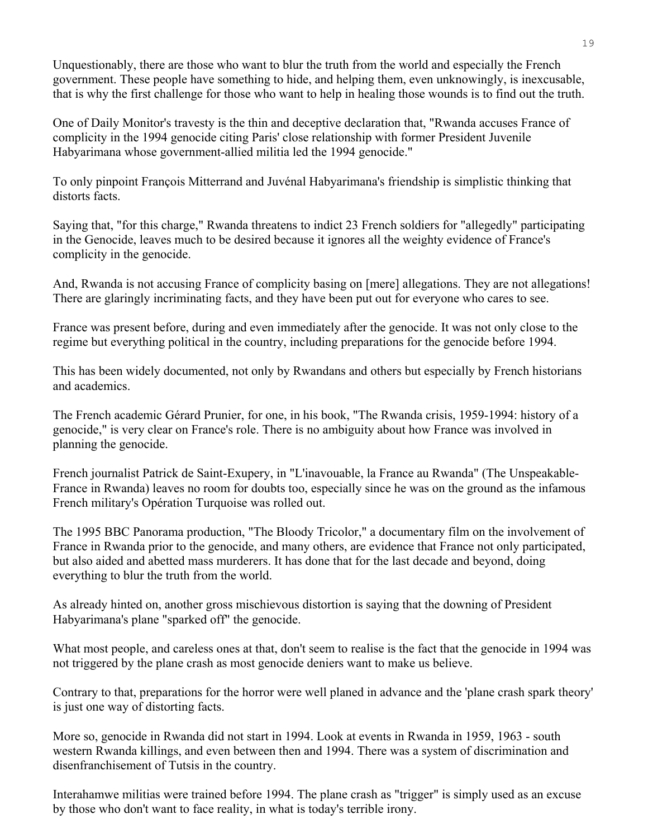Unquestionably, there are those who want to blur the truth from the world and especially the French government. These people have something to hide, and helping them, even unknowingly, is inexcusable, that is why the first challenge for those who want to help in healing those wounds is to find out the truth.

One of Daily Monitor's travesty is the thin and deceptive declaration that, "Rwanda accuses France of complicity in the 1994 genocide citing Paris' close relationship with former President Juvenile Habyarimana whose government-allied militia led the 1994 genocide."

To only pinpoint François Mitterrand and Juvénal Habyarimana's friendship is simplistic thinking that distorts facts.

Saying that, "for this charge," Rwanda threatens to indict 23 French soldiers for "allegedly" participating in the Genocide, leaves much to be desired because it ignores all the weighty evidence of France's complicity in the genocide.

And, Rwanda is not accusing France of complicity basing on [mere] allegations. They are not allegations! There are glaringly incriminating facts, and they have been put out for everyone who cares to see.

France was present before, during and even immediately after the genocide. It was not only close to the regime but everything political in the country, including preparations for the genocide before 1994.

This has been widely documented, not only by Rwandans and others but especially by French historians and academics.

The French academic Gérard Prunier, for one, in his book, "The Rwanda crisis, 1959-1994: history of a genocide," is very clear on France's role. There is no ambiguity about how France was involved in planning the genocide.

French journalist Patrick de Saint-Exupery, in "L'inavouable, la France au Rwanda" (The Unspeakable-France in Rwanda) leaves no room for doubts too, especially since he was on the ground as the infamous French military's Opération Turquoise was rolled out.

The 1995 BBC Panorama production, "The Bloody Tricolor," a documentary film on the involvement of France in Rwanda prior to the genocide, and many others, are evidence that France not only participated, but also aided and abetted mass murderers. It has done that for the last decade and beyond, doing everything to blur the truth from the world.

As already hinted on, another gross mischievous distortion is saying that the downing of President Habyarimana's plane "sparked off" the genocide.

What most people, and careless ones at that, don't seem to realise is the fact that the genocide in 1994 was not triggered by the plane crash as most genocide deniers want to make us believe.

Contrary to that, preparations for the horror were well planed in advance and the 'plane crash spark theory' is just one way of distorting facts.

More so, genocide in Rwanda did not start in 1994. Look at events in Rwanda in 1959, 1963 - south western Rwanda killings, and even between then and 1994. There was a system of discrimination and disenfranchisement of Tutsis in the country.

Interahamwe militias were trained before 1994. The plane crash as "trigger" is simply used as an excuse by those who don't want to face reality, in what is today's terrible irony.